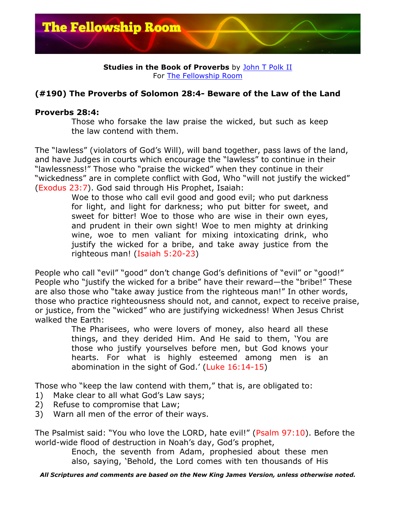

## **Studies in the Book of Proverbs** by John T Polk II For The Fellowship Room

## **(#190) The Proverbs of Solomon 28:4- Beware of the Law of the Land**

## **Proverbs 28:4:**

Those who forsake the law praise the wicked, but such as keep the law contend with them.

The "lawless" (violators of God's Will), will band together, pass laws of the land, and have Judges in courts which encourage the "lawless" to continue in their "lawlessness!" Those who "praise the wicked" when they continue in their "wickedness" are in complete conflict with God, Who "will not justify the wicked" (Exodus 23:7). God said through His Prophet, Isaiah:

Woe to those who call evil good and good evil; who put darkness for light, and light for darkness; who put bitter for sweet, and sweet for bitter! Woe to those who are wise in their own eyes, and prudent in their own sight! Woe to men mighty at drinking wine, woe to men valiant for mixing intoxicating drink, who justify the wicked for a bribe, and take away justice from the righteous man! (Isaiah 5:20-23)

People who call "evil" "good" don't change God's definitions of "evil" or "good!" People who "justify the wicked for a bribe" have their reward—the "bribe!" These are also those who "take away justice from the righteous man!" In other words, those who practice righteousness should not, and cannot, expect to receive praise, or justice, from the "wicked" who are justifying wickedness! When Jesus Christ walked the Earth:

> The Pharisees, who were lovers of money, also heard all these things, and they derided Him. And He said to them, 'You are those who justify yourselves before men, but God knows your hearts. For what is highly esteemed among men is an abomination in the sight of God.' (Luke 16:14-15)

Those who "keep the law contend with them," that is, are obligated to:

- 1) Make clear to all what God's Law says;
- 2) Refuse to compromise that Law;
- 3) Warn all men of the error of their ways.

The Psalmist said: "You who love the LORD, hate evil!" (Psalm 97:10). Before the world-wide flood of destruction in Noah's day, God's prophet,

> Enoch, the seventh from Adam, prophesied about these men also, saying, 'Behold, the Lord comes with ten thousands of His

*All Scriptures and comments are based on the New King James Version, unless otherwise noted.*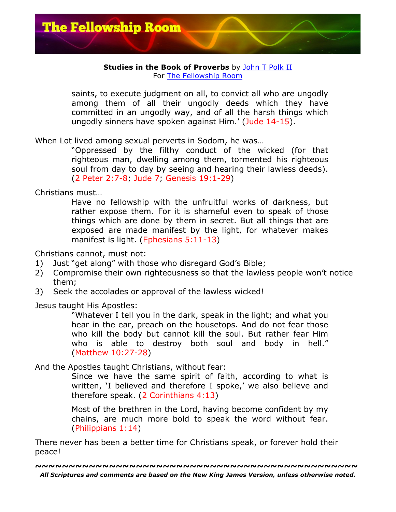

## **Studies in the Book of Proverbs** by John T Polk II For The Fellowship Room

saints, to execute judgment on all, to convict all who are ungodly among them of all their ungodly deeds which they have committed in an ungodly way, and of all the harsh things which ungodly sinners have spoken against Him.' (Jude 14-15).

When Lot lived among sexual perverts in Sodom, he was…

"Oppressed by the filthy conduct of the wicked (for that righteous man, dwelling among them, tormented his righteous soul from day to day by seeing and hearing their lawless deeds). (2 Peter 2:7-8; Jude 7; Genesis 19:1-29)

Christians must…

Have no fellowship with the unfruitful works of darkness, but rather expose them. For it is shameful even to speak of those things which are done by them in secret. But all things that are exposed are made manifest by the light, for whatever makes manifest is light. (Ephesians 5:11-13)

Christians cannot, must not:

- 1) Just "get along" with those who disregard God's Bible;
- 2) Compromise their own righteousness so that the lawless people won't notice them;
- 3) Seek the accolades or approval of the lawless wicked!

Jesus taught His Apostles:

"Whatever I tell you in the dark, speak in the light; and what you hear in the ear, preach on the housetops. And do not fear those who kill the body but cannot kill the soul. But rather fear Him who is able to destroy both soul and body in hell." (Matthew 10:27-28)

And the Apostles taught Christians, without fear:

Since we have the same spirit of faith, according to what is written, 'I believed and therefore I spoke,' we also believe and therefore speak. (2 Corinthians 4:13)

Most of the brethren in the Lord, having become confident by my chains, are much more bold to speak the word without fear. (Philippians 1:14)

There never has been a better time for Christians speak, or forever hold their peace!

*All Scriptures and comments are based on the New King James Version, unless otherwise noted.* **~~~~~~~~~~~~~~~~~~~~~~~~~~~~~~~~~~~~~~~~~~~~~~~~**